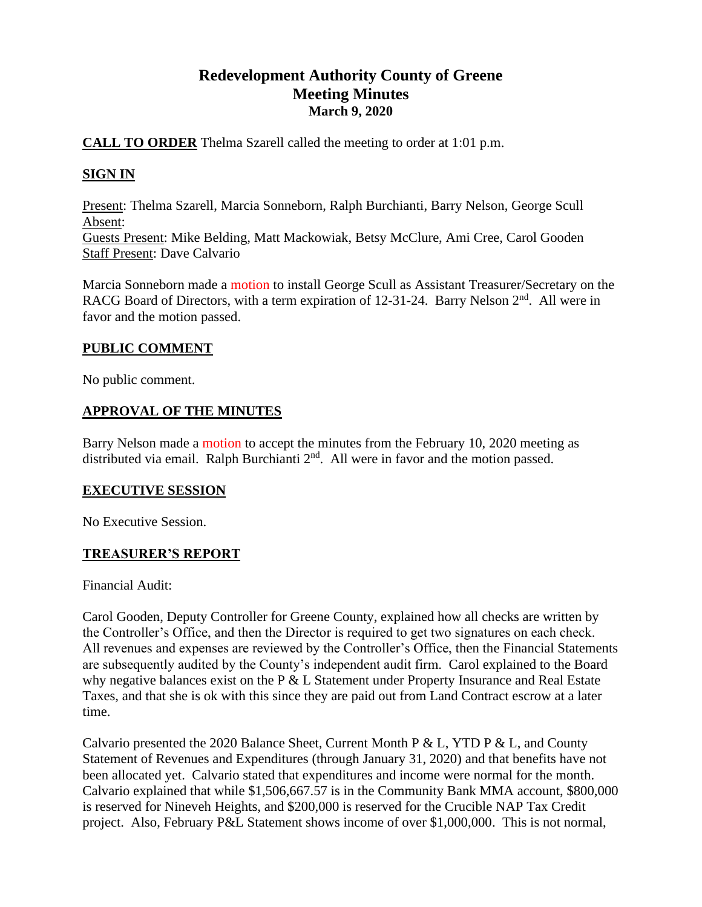# **Redevelopment Authority County of Greene Meeting Minutes March 9, 2020**

## **CALL TO ORDER** Thelma Szarell called the meeting to order at 1:01 p.m.

# **SIGN IN**

Present: Thelma Szarell, Marcia Sonneborn, Ralph Burchianti, Barry Nelson, George Scull Absent: Guests Present: Mike Belding, Matt Mackowiak, Betsy McClure, Ami Cree, Carol Gooden Staff Present: Dave Calvario

Marcia Sonneborn made a motion to install George Scull as Assistant Treasurer/Secretary on the RACG Board of Directors, with a term expiration of 12-31-24. Barry Nelson 2<sup>nd</sup>. All were in favor and the motion passed.

# **PUBLIC COMMENT**

No public comment.

# **APPROVAL OF THE MINUTES**

Barry Nelson made a motion to accept the minutes from the February 10, 2020 meeting as distributed via email. Ralph Burchianti  $2<sup>nd</sup>$ . All were in favor and the motion passed.

# **EXECUTIVE SESSION**

No Executive Session.

# **TREASURER'S REPORT**

Financial Audit:

Carol Gooden, Deputy Controller for Greene County, explained how all checks are written by the Controller's Office, and then the Director is required to get two signatures on each check. All revenues and expenses are reviewed by the Controller's Office, then the Financial Statements are subsequently audited by the County's independent audit firm. Carol explained to the Board why negative balances exist on the P & L Statement under Property Insurance and Real Estate Taxes, and that she is ok with this since they are paid out from Land Contract escrow at a later time.

Calvario presented the 2020 Balance Sheet, Current Month P & L, YTD P & L, and County Statement of Revenues and Expenditures (through January 31, 2020) and that benefits have not been allocated yet. Calvario stated that expenditures and income were normal for the month. Calvario explained that while \$1,506,667.57 is in the Community Bank MMA account, \$800,000 is reserved for Nineveh Heights, and \$200,000 is reserved for the Crucible NAP Tax Credit project. Also, February P&L Statement shows income of over \$1,000,000. This is not normal,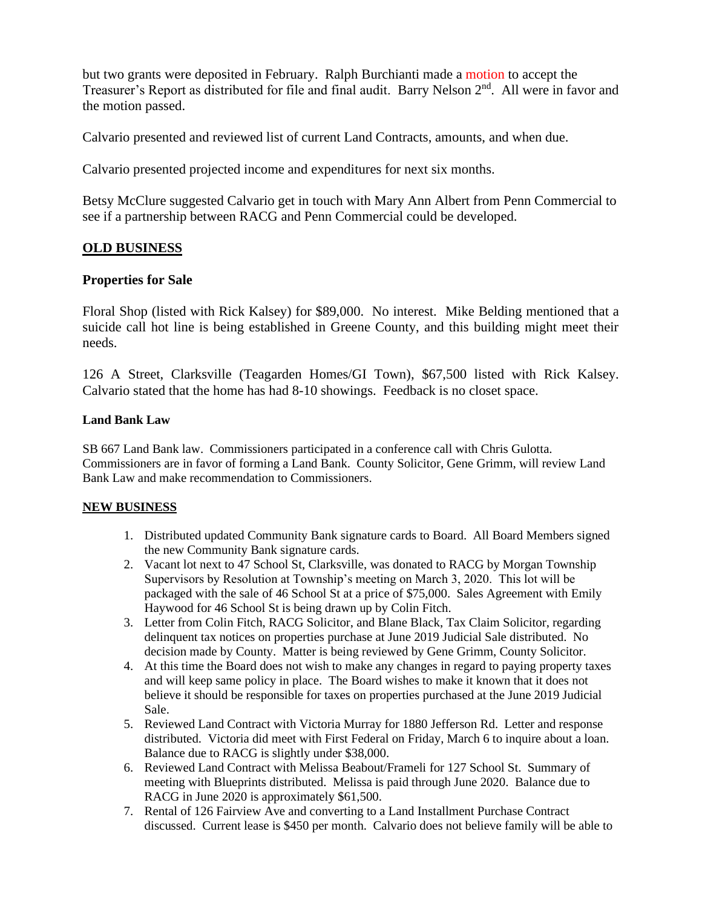but two grants were deposited in February. Ralph Burchianti made a motion to accept the Treasurer's Report as distributed for file and final audit. Barry Nelson 2<sup>nd</sup>. All were in favor and the motion passed.

Calvario presented and reviewed list of current Land Contracts, amounts, and when due.

Calvario presented projected income and expenditures for next six months.

Betsy McClure suggested Calvario get in touch with Mary Ann Albert from Penn Commercial to see if a partnership between RACG and Penn Commercial could be developed.

### **OLD BUSINESS**

### **Properties for Sale**

Floral Shop (listed with Rick Kalsey) for \$89,000. No interest. Mike Belding mentioned that a suicide call hot line is being established in Greene County, and this building might meet their needs.

126 A Street, Clarksville (Teagarden Homes/GI Town), \$67,500 listed with Rick Kalsey. Calvario stated that the home has had 8-10 showings. Feedback is no closet space.

#### **Land Bank Law**

SB 667 Land Bank law. Commissioners participated in a conference call with Chris Gulotta. Commissioners are in favor of forming a Land Bank. County Solicitor, Gene Grimm, will review Land Bank Law and make recommendation to Commissioners.

#### **NEW BUSINESS**

- 1. Distributed updated Community Bank signature cards to Board. All Board Members signed the new Community Bank signature cards.
- 2. Vacant lot next to 47 School St, Clarksville, was donated to RACG by Morgan Township Supervisors by Resolution at Township's meeting on March 3, 2020. This lot will be packaged with the sale of 46 School St at a price of \$75,000. Sales Agreement with Emily Haywood for 46 School St is being drawn up by Colin Fitch.
- 3. Letter from Colin Fitch, RACG Solicitor, and Blane Black, Tax Claim Solicitor, regarding delinquent tax notices on properties purchase at June 2019 Judicial Sale distributed. No decision made by County. Matter is being reviewed by Gene Grimm, County Solicitor.
- 4. At this time the Board does not wish to make any changes in regard to paying property taxes and will keep same policy in place. The Board wishes to make it known that it does not believe it should be responsible for taxes on properties purchased at the June 2019 Judicial Sale.
- 5. Reviewed Land Contract with Victoria Murray for 1880 Jefferson Rd. Letter and response distributed. Victoria did meet with First Federal on Friday, March 6 to inquire about a loan. Balance due to RACG is slightly under \$38,000.
- 6. Reviewed Land Contract with Melissa Beabout/Frameli for 127 School St. Summary of meeting with Blueprints distributed. Melissa is paid through June 2020. Balance due to RACG in June 2020 is approximately \$61,500.
- 7. Rental of 126 Fairview Ave and converting to a Land Installment Purchase Contract discussed. Current lease is \$450 per month. Calvario does not believe family will be able to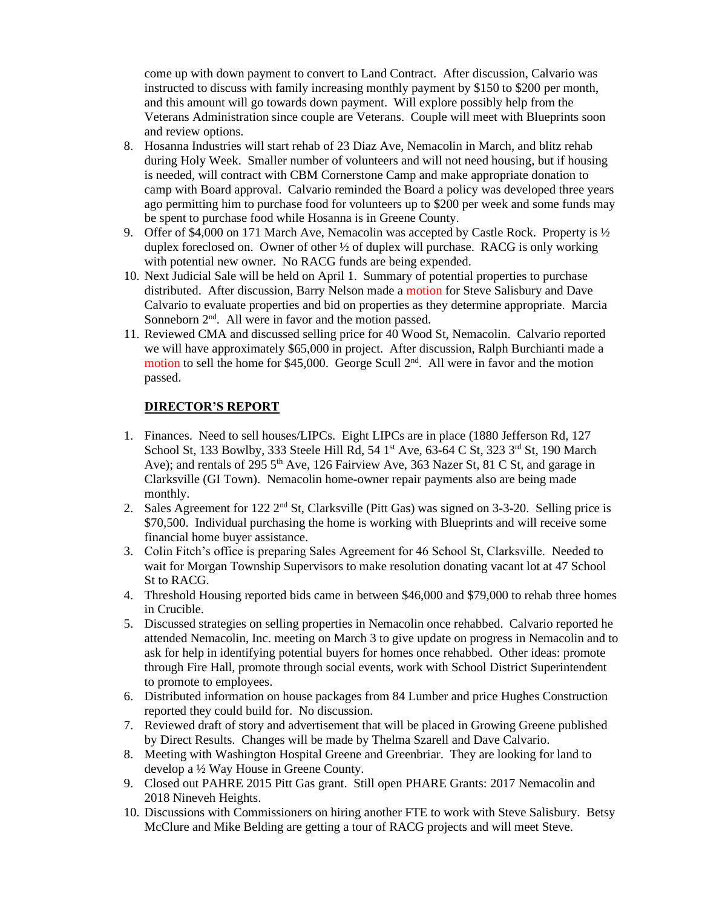come up with down payment to convert to Land Contract. After discussion, Calvario was instructed to discuss with family increasing monthly payment by \$150 to \$200 per month, and this amount will go towards down payment. Will explore possibly help from the Veterans Administration since couple are Veterans. Couple will meet with Blueprints soon and review options.

- 8. Hosanna Industries will start rehab of 23 Diaz Ave, Nemacolin in March, and blitz rehab during Holy Week. Smaller number of volunteers and will not need housing, but if housing is needed, will contract with CBM Cornerstone Camp and make appropriate donation to camp with Board approval. Calvario reminded the Board a policy was developed three years ago permitting him to purchase food for volunteers up to \$200 per week and some funds may be spent to purchase food while Hosanna is in Greene County.
- 9. Offer of \$4,000 on 171 March Ave, Nemacolin was accepted by Castle Rock. Property is  $\frac{1}{2}$ duplex foreclosed on. Owner of other ½ of duplex will purchase. RACG is only working with potential new owner. No RACG funds are being expended.
- 10. Next Judicial Sale will be held on April 1. Summary of potential properties to purchase distributed. After discussion, Barry Nelson made a motion for Steve Salisbury and Dave Calvario to evaluate properties and bid on properties as they determine appropriate. Marcia Sonneborn  $2<sup>nd</sup>$ . All were in favor and the motion passed.
- 11. Reviewed CMA and discussed selling price for 40 Wood St, Nemacolin. Calvario reported we will have approximately \$65,000 in project. After discussion, Ralph Burchianti made a motion to sell the home for \$45,000. George Scull 2<sup>nd</sup>. All were in favor and the motion passed.

### **DIRECTOR'S REPORT**

- 1. Finances. Need to sell houses/LIPCs. Eight LIPCs are in place (1880 Jefferson Rd, 127 School St, 133 Bowlby, 333 Steele Hill Rd, 54 1<sup>st</sup> Ave, 63-64 C St, 323 3<sup>rd</sup> St, 190 March Ave); and rentals of 295  $5<sup>th</sup>$  Ave, 126 Fairview Ave, 363 Nazer St, 81 C St, and garage in Clarksville (GI Town). Nemacolin home-owner repair payments also are being made monthly.
- 2. Sales Agreement for 122  $2<sup>nd</sup>$  St, Clarksville (Pitt Gas) was signed on 3-3-20. Selling price is \$70,500. Individual purchasing the home is working with Blueprints and will receive some financial home buyer assistance.
- 3. Colin Fitch's office is preparing Sales Agreement for 46 School St, Clarksville. Needed to wait for Morgan Township Supervisors to make resolution donating vacant lot at 47 School St to RACG.
- 4. Threshold Housing reported bids came in between \$46,000 and \$79,000 to rehab three homes in Crucible.
- 5. Discussed strategies on selling properties in Nemacolin once rehabbed. Calvario reported he attended Nemacolin, Inc. meeting on March 3 to give update on progress in Nemacolin and to ask for help in identifying potential buyers for homes once rehabbed. Other ideas: promote through Fire Hall, promote through social events, work with School District Superintendent to promote to employees.
- 6. Distributed information on house packages from 84 Lumber and price Hughes Construction reported they could build for. No discussion.
- 7. Reviewed draft of story and advertisement that will be placed in Growing Greene published by Direct Results. Changes will be made by Thelma Szarell and Dave Calvario.
- 8. Meeting with Washington Hospital Greene and Greenbriar. They are looking for land to develop a ½ Way House in Greene County.
- 9. Closed out PAHRE 2015 Pitt Gas grant. Still open PHARE Grants: 2017 Nemacolin and 2018 Nineveh Heights.
- 10. Discussions with Commissioners on hiring another FTE to work with Steve Salisbury. Betsy McClure and Mike Belding are getting a tour of RACG projects and will meet Steve.